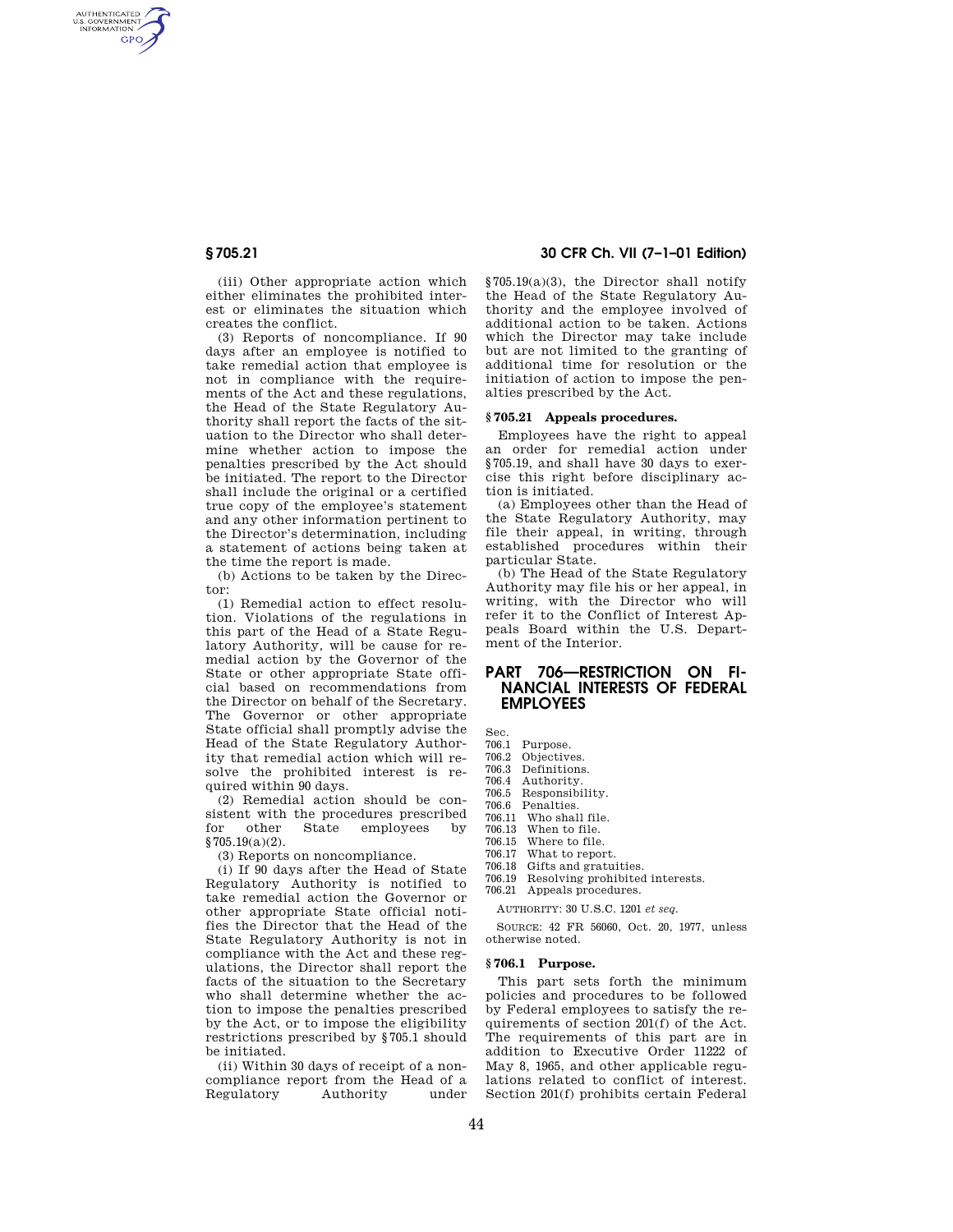AUTHENTICATED<br>U.S. GOVERNMENT<br>INFORMATION **GPO** 

> (iii) Other appropriate action which either eliminates the prohibited interest or eliminates the situation which creates the conflict.

> (3) Reports of noncompliance. If 90 days after an employee is notified to take remedial action that employee is not in compliance with the requirements of the Act and these regulations, the Head of the State Regulatory Authority shall report the facts of the situation to the Director who shall determine whether action to impose the penalties prescribed by the Act should be initiated. The report to the Director shall include the original or a certified true copy of the employee's statement and any other information pertinent to the Director's determination, including a statement of actions being taken at the time the report is made.

(b) Actions to be taken by the Director:

(1) Remedial action to effect resolution. Violations of the regulations in this part of the Head of a State Regulatory Authority, will be cause for remedial action by the Governor of the State or other appropriate State official based on recommendations from the Director on behalf of the Secretary. The Governor or other appropriate State official shall promptly advise the Head of the State Regulatory Authority that remedial action which will resolve the prohibited interest is required within 90 days.

(2) Remedial action should be consistent with the procedures prescribed<br>for other State employees by for other State employees by § 705.19(a)(2).

(3) Reports on noncompliance.

(i) If 90 days after the Head of State Regulatory Authority is notified to take remedial action the Governor or other appropriate State official notifies the Director that the Head of the State Regulatory Authority is not in compliance with the Act and these regulations, the Director shall report the facts of the situation to the Secretary who shall determine whether the action to impose the penalties prescribed by the Act, or to impose the eligibility restrictions prescribed by § 705.1 should be initiated.

(ii) Within 30 days of receipt of a noncompliance report from the Head of a Regulatory

## **§ 705.21 30 CFR Ch. VII (7–1–01 Edition)**

§ 705.19(a)(3), the Director shall notify the Head of the State Regulatory Authority and the employee involved of additional action to be taken. Actions which the Director may take include but are not limited to the granting of additional time for resolution or the initiation of action to impose the penalties prescribed by the Act.

#### **§ 705.21 Appeals procedures.**

Employees have the right to appeal an order for remedial action under § 705.19, and shall have 30 days to exercise this right before disciplinary action is initiated.

(a) Employees other than the Head of the State Regulatory Authority, may file their appeal, in writing, through established procedures within their particular State.

(b) The Head of the State Regulatory Authority may file his or her appeal, in writing, with the Director who will refer it to the Conflict of Interest Appeals Board within the U.S. Department of the Interior.

# **PART 706—RESTRICTION ON FI-NANCIAL INTERESTS OF FEDERAL EMPLOYEES**

Sec.

- 706.1 Purpose.
- 706.2 Objectives.
- 706.3 Definitions.

706.4 Authority. 706.5 Responsibility.

- 706.6 Penalties.
- 706.11 Who shall file.
- 
- 706.13 When to file. 706.15 Where to file.<br>706.17 What to report
- What to report.
- 706.18 Gifts and gratuities.
- 706.19 Resolving prohibited interests.

706.21 Appeals procedures.

AUTHORITY: 30 U.S.C. 1201 *et seq.*

SOURCE: 42 FR 56060, Oct. 20, 1977, unless otherwise noted.

#### **§ 706.1 Purpose.**

This part sets forth the minimum policies and procedures to be followed by Federal employees to satisfy the requirements of section 201(f) of the Act. The requirements of this part are in addition to Executive Order 11222 of May 8, 1965, and other applicable regulations related to conflict of interest. Section 201(f) prohibits certain Federal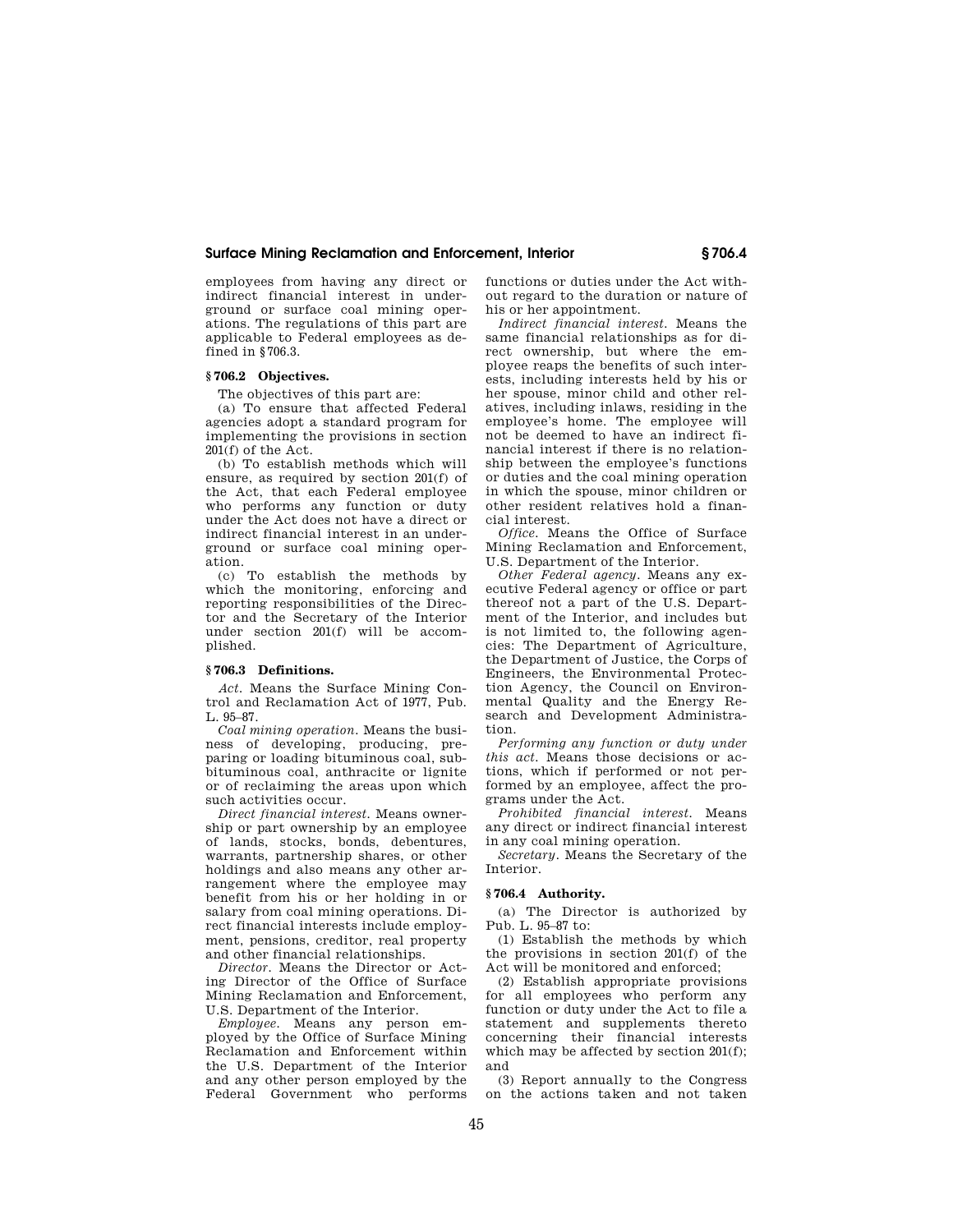#### **Surface Mining Reclamation and Enforcement, Interior § 706.4**

employees from having any direct or indirect financial interest in underground or surface coal mining operations. The regulations of this part are applicable to Federal employees as defined in § 706.3.

# **§ 706.2 Objectives.**

The objectives of this part are:

(a) To ensure that affected Federal agencies adopt a standard program for implementing the provisions in section 201(f) of the Act.

(b) To establish methods which will ensure, as required by section 201(f) of the Act, that each Federal employee who performs any function or duty under the Act does not have a direct or indirect financial interest in an underground or surface coal mining operation.

(c) To establish the methods by which the monitoring, enforcing and reporting responsibilities of the Director and the Secretary of the Interior under section 201(f) will be accomplished.

#### **§ 706.3 Definitions.**

*Act.* Means the Surface Mining Control and Reclamation Act of 1977, Pub. L. 95–87.

*Coal mining operation.* Means the business of developing, producing, preparing or loading bituminous coal, subbituminous coal, anthracite or lignite or of reclaiming the areas upon which such activities occur.

*Direct financial interest.* Means ownership or part ownership by an employee of lands, stocks, bonds, debentures, warrants, partnership shares, or other holdings and also means any other arrangement where the employee may benefit from his or her holding in or salary from coal mining operations. Direct financial interests include employment, pensions, creditor, real property and other financial relationships.

*Director.* Means the Director or Acting Director of the Office of Surface Mining Reclamation and Enforcement, U.S. Department of the Interior.

*Employee.* Means any person employed by the Office of Surface Mining Reclamation and Enforcement within the U.S. Department of the Interior and any other person employed by the Federal Government who performs functions or duties under the Act without regard to the duration or nature of his or her appointment.

*Indirect financial interest.* Means the same financial relationships as for direct ownership, but where the employee reaps the benefits of such interests, including interests held by his or her spouse, minor child and other relatives, including inlaws, residing in the employee's home. The employee will not be deemed to have an indirect financial interest if there is no relationship between the employee's functions or duties and the coal mining operation in which the spouse, minor children or other resident relatives hold a financial interest.

*Office.* Means the Office of Surface Mining Reclamation and Enforcement, U.S. Department of the Interior.

*Other Federal agency.* Means any executive Federal agency or office or part thereof not a part of the U.S. Department of the Interior, and includes but is not limited to, the following agencies: The Department of Agriculture, the Department of Justice, the Corps of Engineers, the Environmental Protection Agency, the Council on Environmental Quality and the Energy Research and Development Administration.

*Performing any function or duty under this act.* Means those decisions or actions, which if performed or not performed by an employee, affect the programs under the Act.

*Prohibited financial interest.* Means any direct or indirect financial interest in any coal mining operation.

*Secretary.* Means the Secretary of the Interior.

#### **§ 706.4 Authority.**

(a) The Director is authorized by Pub. L. 95–87 to:

(1) Establish the methods by which the provisions in section 201(f) of the Act will be monitored and enforced;

(2) Establish appropriate provisions for all employees who perform any function or duty under the Act to file a statement and supplements thereto concerning their financial interests which may be affected by section  $201(f)$ ; and

(3) Report annually to the Congress on the actions taken and not taken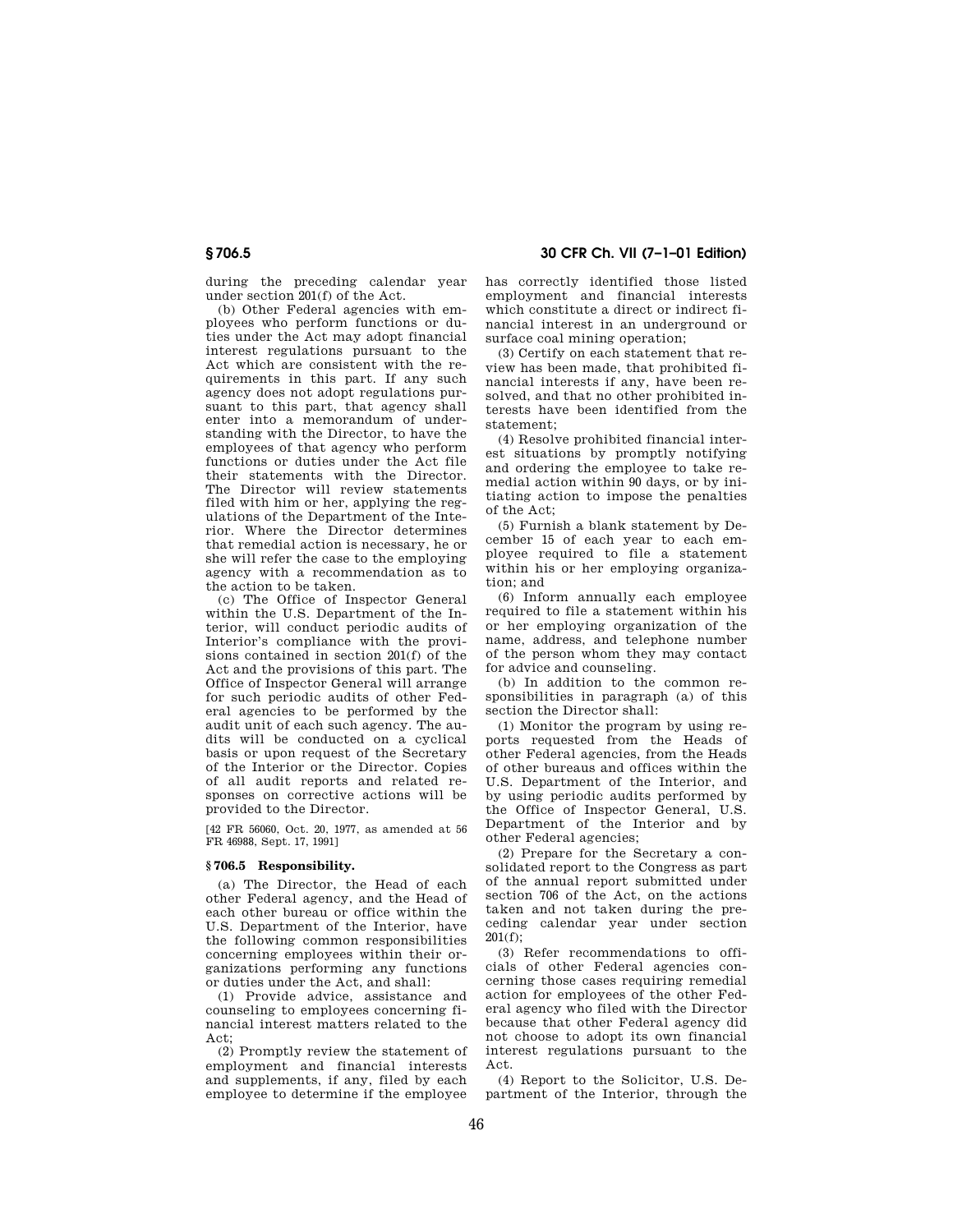# **§ 706.5 30 CFR Ch. VII (7–1–01 Edition)**

during the preceding calendar year under section 201(f) of the Act.

(b) Other Federal agencies with employees who perform functions or duties under the Act may adopt financial interest regulations pursuant to the Act which are consistent with the requirements in this part. If any such agency does not adopt regulations pursuant to this part, that agency shall enter into a memorandum of understanding with the Director, to have the employees of that agency who perform functions or duties under the Act file their statements with the Director. The Director will review statements filed with him or her, applying the regulations of the Department of the Interior. Where the Director determines that remedial action is necessary, he or she will refer the case to the employing agency with a recommendation as to the action to be taken.

(c) The Office of Inspector General within the U.S. Department of the Interior, will conduct periodic audits of Interior's compliance with the provisions contained in section 201(f) of the Act and the provisions of this part. The Office of Inspector General will arrange for such periodic audits of other Federal agencies to be performed by the audit unit of each such agency. The audits will be conducted on a cyclical basis or upon request of the Secretary of the Interior or the Director. Copies of all audit reports and related responses on corrective actions will be provided to the Director.

[42 FR 56060, Oct. 20, 1977, as amended at 56 FR 46988, Sept. 17, 1991]

## **§ 706.5 Responsibility.**

(a) The Director, the Head of each other Federal agency, and the Head of each other bureau or office within the U.S. Department of the Interior, have the following common responsibilities concerning employees within their organizations performing any functions or duties under the Act, and shall:

(1) Provide advice, assistance and counseling to employees concerning financial interest matters related to the Act;

(2) Promptly review the statement of employment and financial interests and supplements, if any, filed by each employee to determine if the employee

has correctly identified those listed employment and financial interests which constitute a direct or indirect financial interest in an underground or surface coal mining operation;

(3) Certify on each statement that review has been made, that prohibited financial interests if any, have been resolved, and that no other prohibited interests have been identified from the statement;

(4) Resolve prohibited financial interest situations by promptly notifying and ordering the employee to take remedial action within 90 days, or by initiating action to impose the penalties of the Act;

(5) Furnish a blank statement by December 15 of each year to each employee required to file a statement within his or her employing organization; and

(6) Inform annually each employee required to file a statement within his or her employing organization of the name, address, and telephone number of the person whom they may contact for advice and counseling.

(b) In addition to the common responsibilities in paragraph (a) of this section the Director shall:

(1) Monitor the program by using reports requested from the Heads of other Federal agencies, from the Heads of other bureaus and offices within the U.S. Department of the Interior, and by using periodic audits performed by the Office of Inspector General, U.S. Department of the Interior and by other Federal agencies;

(2) Prepare for the Secretary a consolidated report to the Congress as part of the annual report submitted under section 706 of the Act, on the actions taken and not taken during the preceding calendar year under section 201(f);

(3) Refer recommendations to officials of other Federal agencies concerning those cases requiring remedial action for employees of the other Federal agency who filed with the Director because that other Federal agency did not choose to adopt its own financial interest regulations pursuant to the Act.

(4) Report to the Solicitor, U.S. Department of the Interior, through the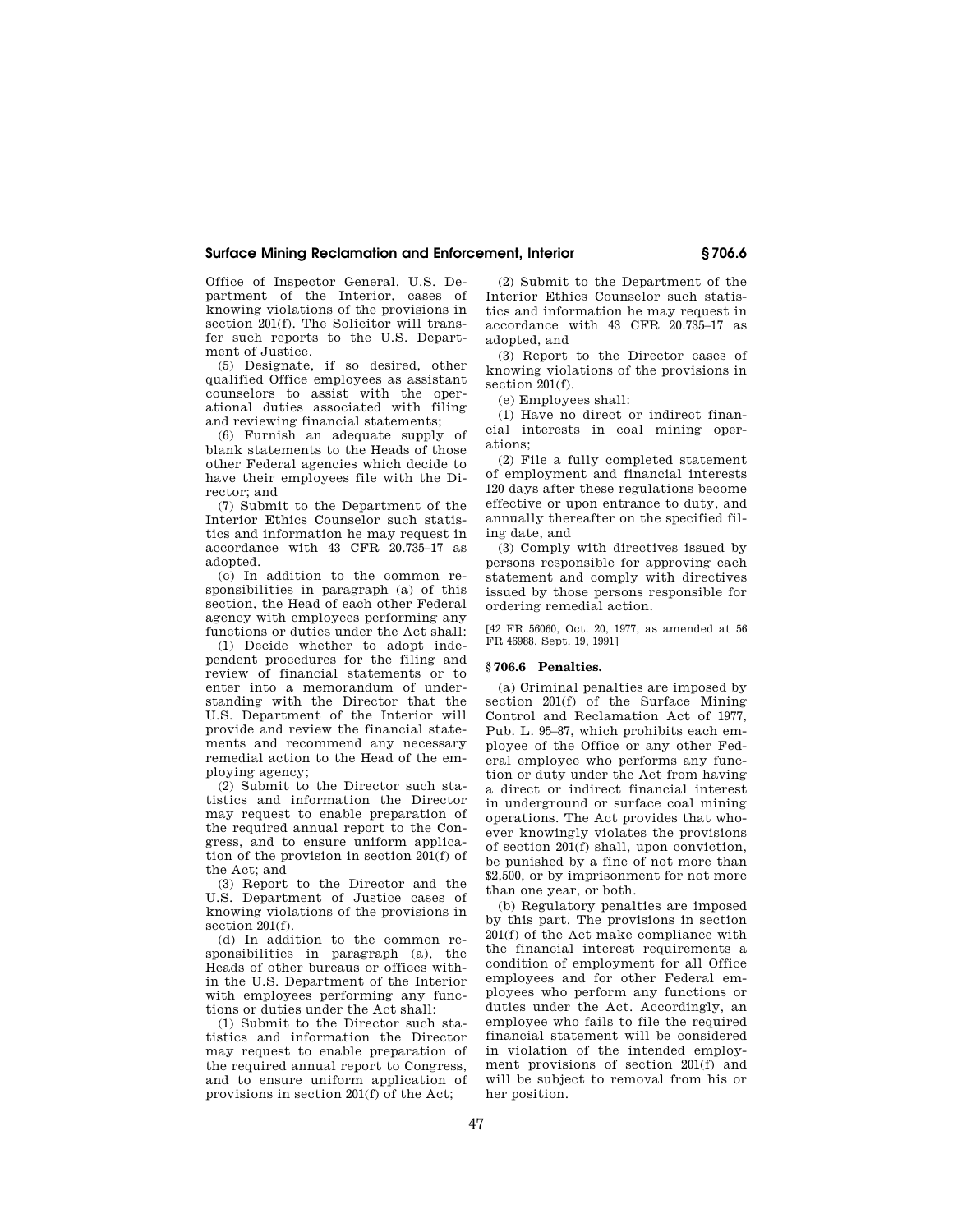## **Surface Mining Reclamation and Enforcement, Interior § 706.6**

Office of Inspector General, U.S. Department of the Interior, cases of knowing violations of the provisions in section 201(f). The Solicitor will transfer such reports to the U.S. Department of Justice.

(5) Designate, if so desired, other qualified Office employees as assistant counselors to assist with the operational duties associated with filing and reviewing financial statements;

(6) Furnish an adequate supply of blank statements to the Heads of those other Federal agencies which decide to have their employees file with the Director; and

(7) Submit to the Department of the Interior Ethics Counselor such statistics and information he may request in accordance with 43 CFR 20.735–17 as adopted.

(c) In addition to the common responsibilities in paragraph (a) of this section, the Head of each other Federal agency with employees performing any functions or duties under the Act shall:

(1) Decide whether to adopt independent procedures for the filing and review of financial statements or to enter into a memorandum of understanding with the Director that the U.S. Department of the Interior will provide and review the financial statements and recommend any necessary remedial action to the Head of the employing agency;

(2) Submit to the Director such statistics and information the Director may request to enable preparation of the required annual report to the Congress, and to ensure uniform application of the provision in section  $201(f)$  of the Act; and

(3) Report to the Director and the U.S. Department of Justice cases of knowing violations of the provisions in section 201(f).

(d) In addition to the common responsibilities in paragraph (a), the Heads of other bureaus or offices within the U.S. Department of the Interior with employees performing any functions or duties under the Act shall:

(1) Submit to the Director such statistics and information the Director may request to enable preparation of the required annual report to Congress, and to ensure uniform application of provisions in section 201(f) of the Act;

(2) Submit to the Department of the Interior Ethics Counselor such statistics and information he may request in accordance with 43 CFR 20.735–17 as adopted, and

(3) Report to the Director cases of knowing violations of the provisions in section 201(f).

(e) Employees shall:

(1) Have no direct or indirect financial interests in coal mining operations;

(2) File a fully completed statement of employment and financial interests 120 days after these regulations become effective or upon entrance to duty, and annually thereafter on the specified filing date, and

(3) Comply with directives issued by persons responsible for approving each statement and comply with directives issued by those persons responsible for ordering remedial action.

[42 FR 56060, Oct. 20, 1977, as amended at 56 FR 46988, Sept. 19, 1991]

#### **§ 706.6 Penalties.**

(a) Criminal penalties are imposed by section 201(f) of the Surface Mining Control and Reclamation Act of 1977, Pub. L. 95–87, which prohibits each employee of the Office or any other Federal employee who performs any function or duty under the Act from having a direct or indirect financial interest in underground or surface coal mining operations. The Act provides that whoever knowingly violates the provisions of section 201(f) shall, upon conviction, be punished by a fine of not more than \$2,500, or by imprisonment for not more than one year, or both.

(b) Regulatory penalties are imposed by this part. The provisions in section 201(f) of the Act make compliance with the financial interest requirements a condition of employment for all Office employees and for other Federal employees who perform any functions or duties under the Act. Accordingly, an employee who fails to file the required financial statement will be considered in violation of the intended employment provisions of section 201(f) and will be subject to removal from his or her position.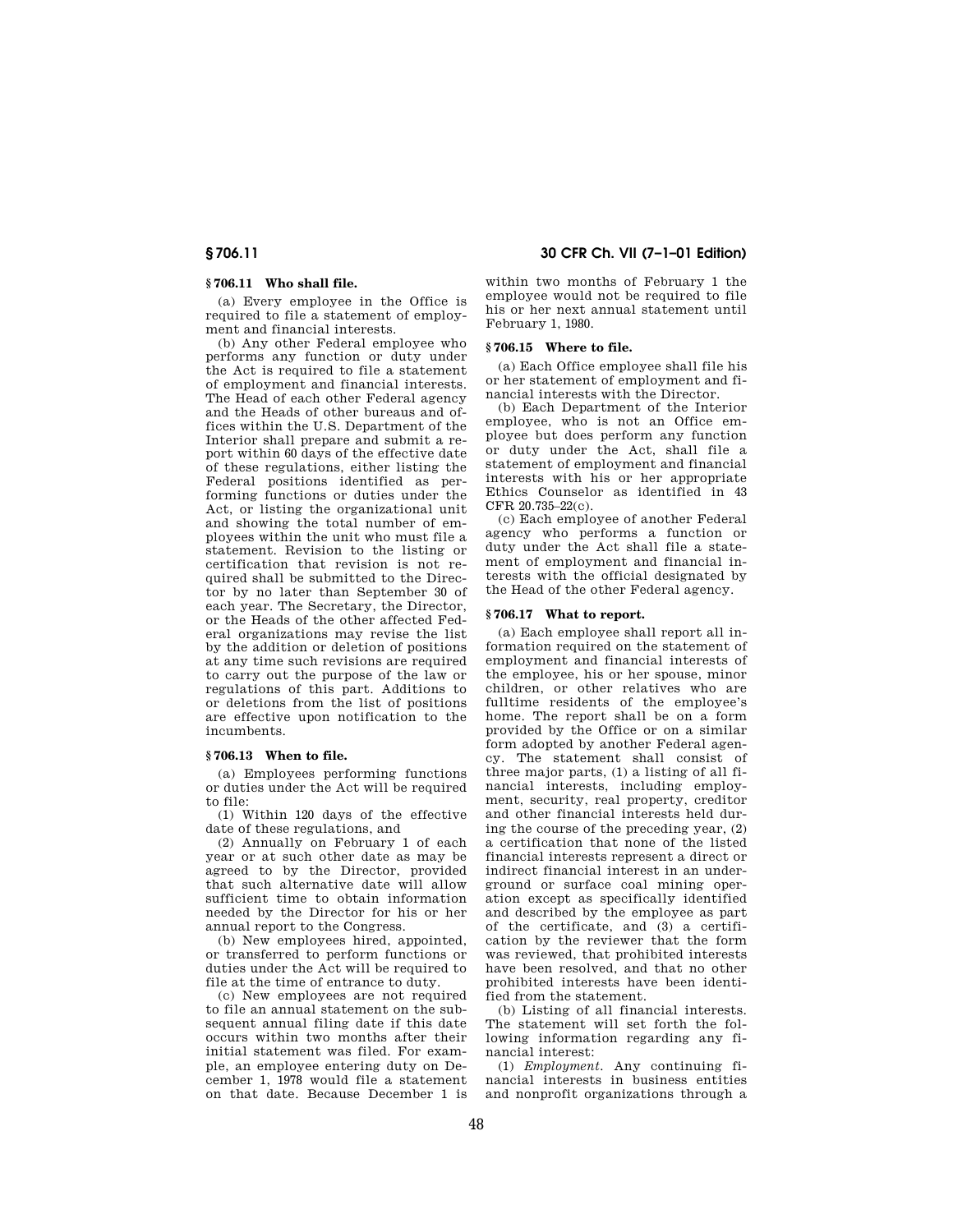#### **§ 706.11 Who shall file.**

(a) Every employee in the Office is required to file a statement of employment and financial interests.

(b) Any other Federal employee who performs any function or duty under the Act is required to file a statement of employment and financial interests. The Head of each other Federal agency and the Heads of other bureaus and offices within the U.S. Department of the Interior shall prepare and submit a report within 60 days of the effective date of these regulations, either listing the Federal positions identified as performing functions or duties under the Act, or listing the organizational unit and showing the total number of employees within the unit who must file a statement. Revision to the listing or certification that revision is not required shall be submitted to the Director by no later than September 30 of each year. The Secretary, the Director, or the Heads of the other affected Federal organizations may revise the list by the addition or deletion of positions at any time such revisions are required to carry out the purpose of the law or regulations of this part. Additions to or deletions from the list of positions are effective upon notification to the incumbents.

## **§ 706.13 When to file.**

(a) Employees performing functions or duties under the Act will be required to file:

(1) Within 120 days of the effective date of these regulations, and

(2) Annually on February 1 of each year or at such other date as may be agreed to by the Director, provided that such alternative date will allow sufficient time to obtain information needed by the Director for his or her annual report to the Congress.

(b) New employees hired, appointed, or transferred to perform functions or duties under the Act will be required to file at the time of entrance to duty.

(c) New employees are not required to file an annual statement on the subsequent annual filing date if this date occurs within two months after their initial statement was filed. For example, an employee entering duty on December 1, 1978 would file a statement on that date. Because December 1 is

**§ 706.11 30 CFR Ch. VII (7–1–01 Edition)**

within two months of February 1 the employee would not be required to file his or her next annual statement until February 1, 1980.

## **§ 706.15 Where to file.**

(a) Each Office employee shall file his or her statement of employment and financial interests with the Director.

(b) Each Department of the Interior employee, who is not an Office employee but does perform any function or duty under the Act, shall file a statement of employment and financial interests with his or her appropriate Ethics Counselor as identified in 43 CFR 20.735–22(c).

(c) Each employee of another Federal agency who performs a function or duty under the Act shall file a statement of employment and financial interests with the official designated by the Head of the other Federal agency.

## **§ 706.17 What to report.**

(a) Each employee shall report all information required on the statement of employment and financial interests of the employee, his or her spouse, minor children, or other relatives who are fulltime residents of the employee's home. The report shall be on a form provided by the Office or on a similar form adopted by another Federal agency. The statement shall consist of three major parts, (1) a listing of all financial interests, including employment, security, real property, creditor and other financial interests held during the course of the preceding year, (2) a certification that none of the listed financial interests represent a direct or indirect financial interest in an underground or surface coal mining operation except as specifically identified and described by the employee as part of the certificate, and (3) a certification by the reviewer that the form was reviewed, that prohibited interests have been resolved, and that no other prohibited interests have been identified from the statement.

(b) Listing of all financial interests. The statement will set forth the following information regarding any financial interest:

(1) *Employment.* Any continuing financial interests in business entities and nonprofit organizations through a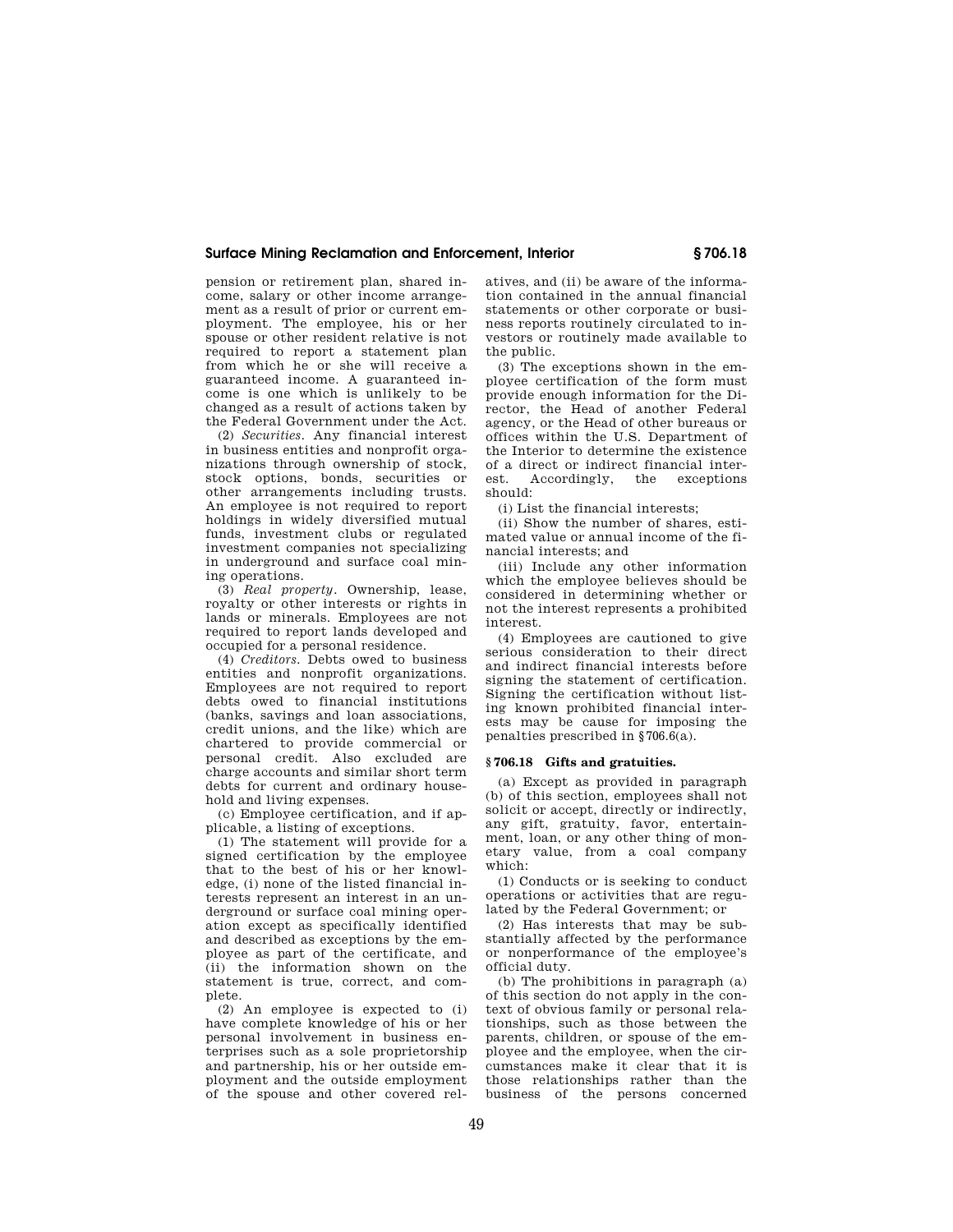## **Surface Mining Reclamation and Enforcement, Interior § 706.18**

pension or retirement plan, shared income, salary or other income arrangement as a result of prior or current employment. The employee, his or her spouse or other resident relative is not required to report a statement plan from which he or she will receive a guaranteed income. A guaranteed income is one which is unlikely to be changed as a result of actions taken by the Federal Government under the Act.

(2) *Securities.* Any financial interest in business entities and nonprofit organizations through ownership of stock, stock options, bonds, securities or other arrangements including trusts. An employee is not required to report holdings in widely diversified mutual funds, investment clubs or regulated investment companies not specializing in underground and surface coal mining operations.

(3) *Real property.* Ownership, lease, royalty or other interests or rights in lands or minerals. Employees are not required to report lands developed and occupied for a personal residence.

(4) *Creditors.* Debts owed to business entities and nonprofit organizations. Employees are not required to report debts owed to financial institutions (banks, savings and loan associations, credit unions, and the like) which are chartered to provide commercial or personal credit. Also excluded are charge accounts and similar short term debts for current and ordinary household and living expenses.

(c) Employee certification, and if applicable, a listing of exceptions.

(1) The statement will provide for a signed certification by the employee that to the best of his or her knowledge, (i) none of the listed financial interests represent an interest in an underground or surface coal mining operation except as specifically identified and described as exceptions by the employee as part of the certificate, and (ii) the information shown on the statement is true, correct, and complete.

(2) An employee is expected to (i) have complete knowledge of his or her personal involvement in business enterprises such as a sole proprietorship and partnership, his or her outside employment and the outside employment of the spouse and other covered relatives, and (ii) be aware of the information contained in the annual financial statements or other corporate or business reports routinely circulated to investors or routinely made available to the public.

(3) The exceptions shown in the employee certification of the form must provide enough information for the Director, the Head of another Federal agency, or the Head of other bureaus or offices within the U.S. Department of the Interior to determine the existence of a direct or indirect financial interest. Accordingly, the exceptions should:

(i) List the financial interests;

(ii) Show the number of shares, estimated value or annual income of the financial interests; and

(iii) Include any other information which the employee believes should be considered in determining whether or not the interest represents a prohibited interest.

(4) Employees are cautioned to give serious consideration to their direct and indirect financial interests before signing the statement of certification. Signing the certification without listing known prohibited financial interests may be cause for imposing the penalties prescribed in § 706.6(a).

#### **§ 706.18 Gifts and gratuities.**

(a) Except as provided in paragraph (b) of this section, employees shall not solicit or accept, directly or indirectly, any gift, gratuity, favor, entertainment, loan, or any other thing of monetary value, from a coal company which:

(1) Conducts or is seeking to conduct operations or activities that are regulated by the Federal Government; or

(2) Has interests that may be substantially affected by the performance or nonperformance of the employee's official duty.

(b) The prohibitions in paragraph (a) of this section do not apply in the context of obvious family or personal relationships, such as those between the parents, children, or spouse of the employee and the employee, when the circumstances make it clear that it is those relationships rather than the business of the persons concerned